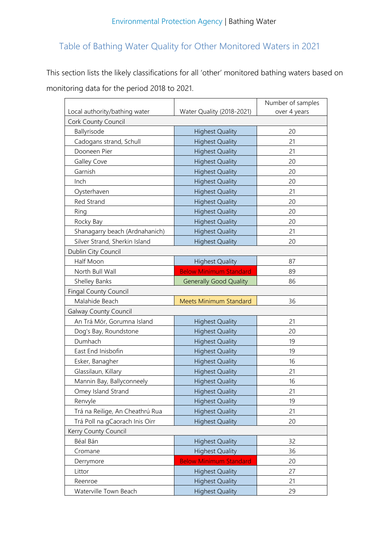## Table of Bathing Water Quality for Other Monitored Waters in 2021

This section lists the likely classifications for all 'other' monitored bathing waters based on monitoring data for the period 2018 to 2021.

|                                 |                               | Number of samples |
|---------------------------------|-------------------------------|-------------------|
| Local authority/bathing water   | Water Quality (2018-2021)     | over 4 years      |
| Cork County Council             |                               |                   |
| Ballyrisode                     | <b>Highest Quality</b>        | 20                |
| Cadogans strand, Schull         | <b>Highest Quality</b>        | 21                |
| Dooneen Pier                    | <b>Highest Quality</b>        | 21                |
| Galley Cove                     | <b>Highest Quality</b>        | 20                |
| Garnish                         | <b>Highest Quality</b>        | 20                |
| Inch                            | <b>Highest Quality</b>        | 20                |
| Oysterhaven                     | <b>Highest Quality</b>        | 21                |
| Red Strand                      | <b>Highest Quality</b>        | 20                |
| Ring                            | <b>Highest Quality</b>        | 20                |
| Rocky Bay                       | <b>Highest Quality</b>        | 20                |
| Shanagarry beach (Ardnahanich)  | <b>Highest Quality</b>        | 21                |
| Silver Strand, Sherkin Island   | <b>Highest Quality</b>        | 20                |
| Dublin City Council             |                               |                   |
| Half Moon                       | <b>Highest Quality</b>        | 87                |
| North Bull Wall                 | <b>Below Minimum Standard</b> | 89                |
| Shelley Banks                   | <b>Generally Good Quality</b> | 86                |
| <b>Fingal County Council</b>    |                               |                   |
| Malahide Beach                  | <b>Meets Minimum Standard</b> | 36                |
| <b>Galway County Council</b>    |                               |                   |
| An Trá Mór, Gorumna Island      | <b>Highest Quality</b>        | 21                |
| Dog's Bay, Roundstone           | <b>Highest Quality</b>        | 20                |
| Dumhach                         | <b>Highest Quality</b>        | 19                |
| East End Inisbofin              | <b>Highest Quality</b>        | 19                |
| Esker, Banagher                 | <b>Highest Quality</b>        | 16                |
| Glassilaun, Killary             | <b>Highest Quality</b>        | 21                |
| Mannin Bay, Ballyconneely       | <b>Highest Quality</b>        | 16                |
| Omey Island Strand              | <b>Highest Quality</b>        | 21                |
| Renvyle                         | <b>Highest Quality</b>        | 19                |
| Trá na Reilige, An Cheathrú Rua | <b>Highest Quality</b>        | 21                |
| Trá Poll na gCaorach Inis Oirr  | <b>Highest Quality</b>        | 20                |
| Kerry County Council            |                               |                   |
| Béal Bán                        | <b>Highest Quality</b>        | 32                |
| Cromane                         | <b>Highest Quality</b>        | 36                |
| Derrymore                       | <b>Below Minimum Standard</b> | 20                |
| Littor                          | <b>Highest Quality</b>        | 27                |
| Reenroe                         | <b>Highest Quality</b>        | 21                |
| Waterville Town Beach           | <b>Highest Quality</b>        | 29                |